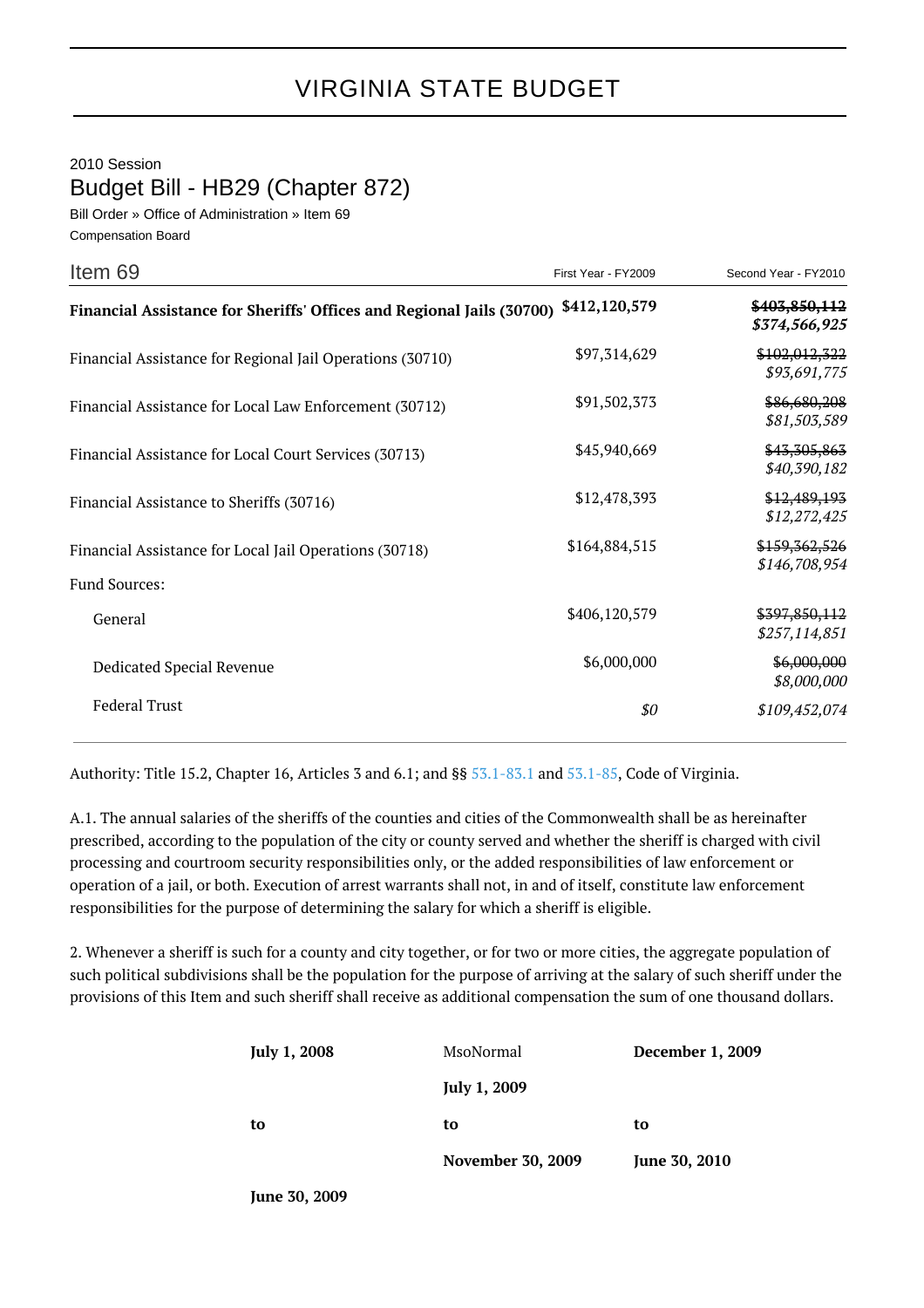2010 Session

Budget Bill - HB29 (Chapter 872)

Bill Order » Office of Administration » Item 69 Compensation Board

| Item 69                                                               | First Year - FY2009 | Second Year - FY2010           |
|-----------------------------------------------------------------------|---------------------|--------------------------------|
| Financial Assistance for Sheriffs' Offices and Regional Jails (30700) | \$412,120,579       | \$403,850,112<br>\$374,566,925 |
| Financial Assistance for Regional Jail Operations (30710)             | \$97,314,629        | \$102,012,322<br>\$93,691,775  |
| Financial Assistance for Local Law Enforcement (30712)                | \$91,502,373        | \$86,680,208<br>\$81,503,589   |
| Financial Assistance for Local Court Services (30713)                 | \$45,940,669        | \$43,305,863<br>\$40,390,182   |
| Financial Assistance to Sheriffs (30716)                              | \$12,478,393        | \$12,489,193<br>\$12,272,425   |
| Financial Assistance for Local Jail Operations (30718)                | \$164,884,515       | \$159,362,526<br>\$146,708,954 |
| Fund Sources:                                                         |                     |                                |
| General                                                               | \$406,120,579       | \$397,850,112<br>\$257,114,851 |
| Dedicated Special Revenue                                             | \$6,000,000         | \$6,000,000<br>\$8,000,000     |
| <b>Federal Trust</b>                                                  | \$0                 | \$109,452,074                  |

Authority: Title 15.2, Chapter 16, Articles 3 and 6.1; and §§ [53.1-83.1](http://law.lis.virginia.gov/vacode/53.1-83.1/) and [53.1-85,](http://law.lis.virginia.gov/vacode/53.1-85/) Code of Virginia.

A.1. The annual salaries of the sheriffs of the counties and cities of the Commonwealth shall be as hereinafter prescribed, according to the population of the city or county served and whether the sheriff is charged with civil processing and courtroom security responsibilities only, or the added responsibilities of law enforcement or operation of a jail, or both. Execution of arrest warrants shall not, in and of itself, constitute law enforcement responsibilities for the purpose of determining the salary for which a sheriff is eligible.

2. Whenever a sheriff is such for a county and city together, or for two or more cities, the aggregate population of such political subdivisions shall be the population for the purpose of arriving at the salary of such sheriff under the provisions of this Item and such sheriff shall receive as additional compensation the sum of one thousand dollars.

| <b>July 1, 2008</b> | MsoNormal                | <b>December 1, 2009</b> |
|---------------------|--------------------------|-------------------------|
|                     | <b>July 1, 2009</b>      |                         |
| to                  | to                       | to                      |
|                     | <b>November 30, 2009</b> | June 30, 2010           |
|                     |                          |                         |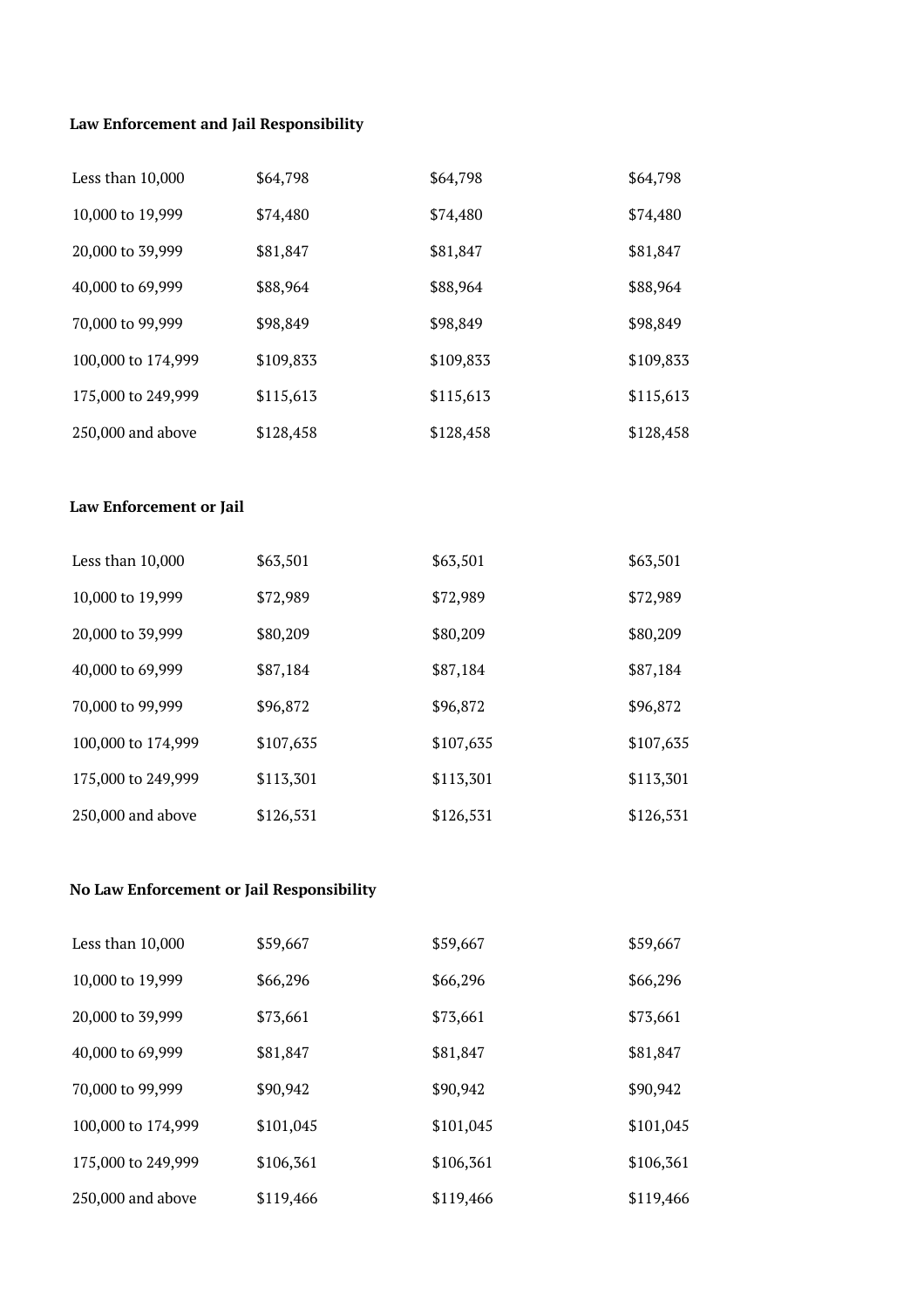## **Law Enforcement and Jail Responsibility**

| Less than $10,000$ | \$64,798  | \$64,798  | \$64,798  |
|--------------------|-----------|-----------|-----------|
| 10,000 to 19,999   | \$74,480  | \$74,480  | \$74,480  |
| 20,000 to 39,999   | \$81,847  | \$81,847  | \$81,847  |
| 40,000 to 69,999   | \$88,964  | \$88,964  | \$88,964  |
| 70,000 to 99,999   | \$98,849  | \$98,849  | \$98,849  |
| 100,000 to 174,999 | \$109,833 | \$109,833 | \$109,833 |
| 175,000 to 249,999 | \$115,613 | \$115,613 | \$115,613 |
| 250,000 and above  | \$128,458 | \$128,458 | \$128,458 |

## **Law Enforcement or Jail**

| Less than $10,000$  | \$63,501  | \$63,501  | \$63,501  |
|---------------------|-----------|-----------|-----------|
| 10,000 to 19,999    | \$72,989  | \$72,989  | \$72,989  |
| 20,000 to 39,999    | \$80,209  | \$80,209  | \$80,209  |
| 40,000 to 69,999    | \$87,184  | \$87,184  | \$87,184  |
| 70,000 to 99,999    | \$96,872  | \$96,872  | \$96,872  |
| 100,000 to 174,999  | \$107,635 | \$107,635 | \$107,635 |
| 175,000 to 249,999  | \$113,301 | \$113,301 | \$113,301 |
| $250,000$ and above | \$126,531 | \$126,531 | \$126,531 |

## **No Law Enforcement or Jail Responsibility**

| Less than $10,000$ | \$59,667  | \$59,667  | \$59,667  |
|--------------------|-----------|-----------|-----------|
| 10,000 to 19,999   | \$66,296  | \$66,296  | \$66,296  |
| 20,000 to 39,999   | \$73,661  | \$73,661  | \$73,661  |
| 40,000 to 69,999   | \$81,847  | \$81,847  | \$81,847  |
| 70,000 to 99,999   | \$90,942  | \$90,942  | \$90,942  |
| 100,000 to 174,999 | \$101,045 | \$101,045 | \$101,045 |
| 175,000 to 249,999 | \$106,361 | \$106,361 | \$106,361 |
| 250,000 and above  | \$119,466 | \$119,466 | \$119,466 |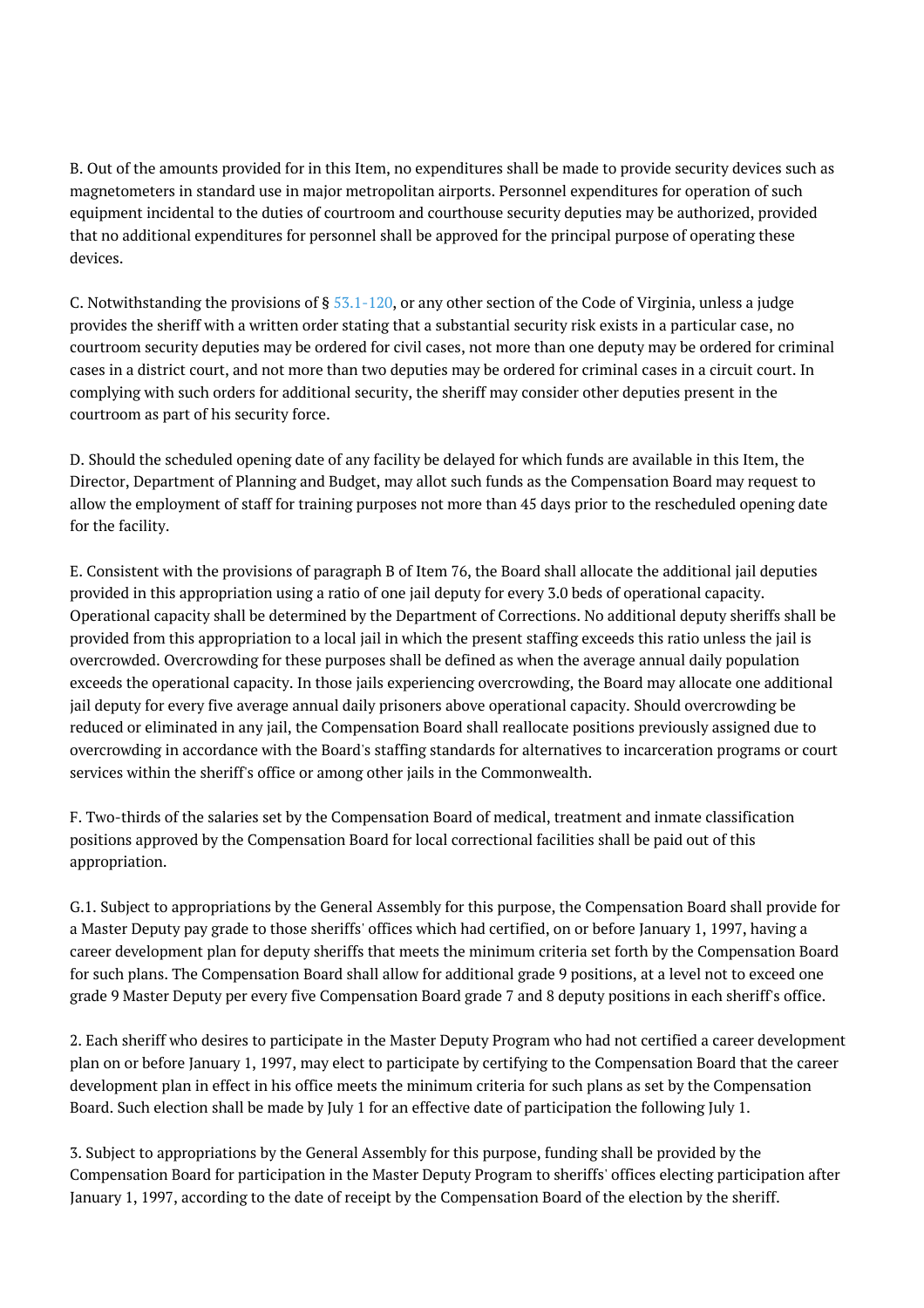B. Out of the amounts provided for in this Item, no expenditures shall be made to provide security devices such as magnetometers in standard use in major metropolitan airports. Personnel expenditures for operation of such equipment incidental to the duties of courtroom and courthouse security deputies may be authorized, provided that no additional expenditures for personnel shall be approved for the principal purpose of operating these devices.

C. Notwithstanding the provisions of § [53.1-120,](http://law.lis.virginia.gov/vacode/53.1-120/) or any other section of the Code of Virginia, unless a judge provides the sheriff with a written order stating that a substantial security risk exists in a particular case, no courtroom security deputies may be ordered for civil cases, not more than one deputy may be ordered for criminal cases in a district court, and not more than two deputies may be ordered for criminal cases in a circuit court. In complying with such orders for additional security, the sheriff may consider other deputies present in the courtroom as part of his security force.

D. Should the scheduled opening date of any facility be delayed for which funds are available in this Item, the Director, Department of Planning and Budget, may allot such funds as the Compensation Board may request to allow the employment of staff for training purposes not more than 45 days prior to the rescheduled opening date for the facility.

E. Consistent with the provisions of paragraph B of Item 76, the Board shall allocate the additional jail deputies provided in this appropriation using a ratio of one jail deputy for every 3.0 beds of operational capacity. Operational capacity shall be determined by the Department of Corrections. No additional deputy sheriffs shall be provided from this appropriation to a local jail in which the present staffing exceeds this ratio unless the jail is overcrowded. Overcrowding for these purposes shall be defined as when the average annual daily population exceeds the operational capacity. In those jails experiencing overcrowding, the Board may allocate one additional jail deputy for every five average annual daily prisoners above operational capacity. Should overcrowding be reduced or eliminated in any jail, the Compensation Board shall reallocate positions previously assigned due to overcrowding in accordance with the Board's staffing standards for alternatives to incarceration programs or court services within the sheriff's office or among other jails in the Commonwealth.

F. Two-thirds of the salaries set by the Compensation Board of medical, treatment and inmate classification positions approved by the Compensation Board for local correctional facilities shall be paid out of this appropriation.

G.1. Subject to appropriations by the General Assembly for this purpose, the Compensation Board shall provide for a Master Deputy pay grade to those sheriffs' offices which had certified, on or before January 1, 1997, having a career development plan for deputy sheriffs that meets the minimum criteria set forth by the Compensation Board for such plans. The Compensation Board shall allow for additional grade 9 positions, at a level not to exceed one grade 9 Master Deputy per every five Compensation Board grade 7 and 8 deputy positions in each sheriff's office.

2. Each sheriff who desires to participate in the Master Deputy Program who had not certified a career development plan on or before January 1, 1997, may elect to participate by certifying to the Compensation Board that the career development plan in effect in his office meets the minimum criteria for such plans as set by the Compensation Board. Such election shall be made by July 1 for an effective date of participation the following July 1.

3. Subject to appropriations by the General Assembly for this purpose, funding shall be provided by the Compensation Board for participation in the Master Deputy Program to sheriffs' offices electing participation after January 1, 1997, according to the date of receipt by the Compensation Board of the election by the sheriff.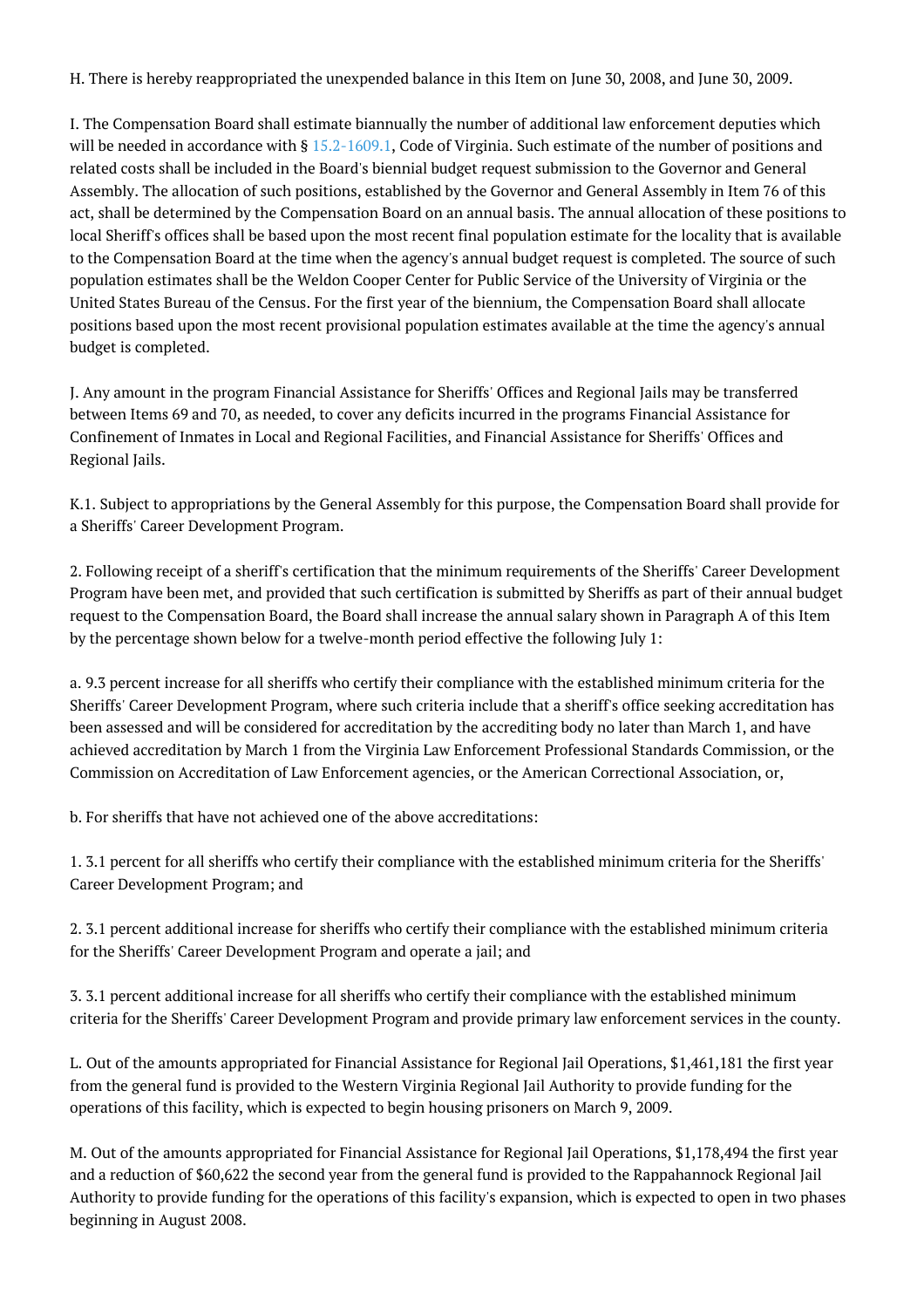H. There is hereby reappropriated the unexpended balance in this Item on June 30, 2008, and June 30, 2009.

I. The Compensation Board shall estimate biannually the number of additional law enforcement deputies which will be needed in accordance with § [15.2-1609.1](http://law.lis.virginia.gov/vacode/15.2-1609.1/), Code of Virginia. Such estimate of the number of positions and related costs shall be included in the Board's biennial budget request submission to the Governor and General Assembly. The allocation of such positions, established by the Governor and General Assembly in Item 76 of this act, shall be determined by the Compensation Board on an annual basis. The annual allocation of these positions to local Sheriff's offices shall be based upon the most recent final population estimate for the locality that is available to the Compensation Board at the time when the agency's annual budget request is completed. The source of such population estimates shall be the Weldon Cooper Center for Public Service of the University of Virginia or the United States Bureau of the Census. For the first year of the biennium, the Compensation Board shall allocate positions based upon the most recent provisional population estimates available at the time the agency's annual budget is completed.

J. Any amount in the program Financial Assistance for Sheriffs' Offices and Regional Jails may be transferred between Items 69 and 70, as needed, to cover any deficits incurred in the programs Financial Assistance for Confinement of Inmates in Local and Regional Facilities, and Financial Assistance for Sheriffs' Offices and Regional Jails.

K.1. Subject to appropriations by the General Assembly for this purpose, the Compensation Board shall provide for a Sheriffs' Career Development Program.

2. Following receipt of a sheriff's certification that the minimum requirements of the Sheriffs' Career Development Program have been met, and provided that such certification is submitted by Sheriffs as part of their annual budget request to the Compensation Board, the Board shall increase the annual salary shown in Paragraph A of this Item by the percentage shown below for a twelve-month period effective the following July 1:

a. 9.3 percent increase for all sheriffs who certify their compliance with the established minimum criteria for the Sheriffs' Career Development Program, where such criteria include that a sheriff's office seeking accreditation has been assessed and will be considered for accreditation by the accrediting body no later than March 1, and have achieved accreditation by March 1 from the Virginia Law Enforcement Professional Standards Commission, or the Commission on Accreditation of Law Enforcement agencies, or the American Correctional Association, or,

b. For sheriffs that have not achieved one of the above accreditations:

1. 3.1 percent for all sheriffs who certify their compliance with the established minimum criteria for the Sheriffs' Career Development Program; and

2. 3.1 percent additional increase for sheriffs who certify their compliance with the established minimum criteria for the Sheriffs' Career Development Program and operate a jail; and

3. 3.1 percent additional increase for all sheriffs who certify their compliance with the established minimum criteria for the Sheriffs' Career Development Program and provide primary law enforcement services in the county.

L. Out of the amounts appropriated for Financial Assistance for Regional Jail Operations, \$1,461,181 the first year from the general fund is provided to the Western Virginia Regional Jail Authority to provide funding for the operations of this facility, which is expected to begin housing prisoners on March 9, 2009.

M. Out of the amounts appropriated for Financial Assistance for Regional Jail Operations, \$1,178,494 the first year and a reduction of \$60,622 the second year from the general fund is provided to the Rappahannock Regional Jail Authority to provide funding for the operations of this facility's expansion, which is expected to open in two phases beginning in August 2008.